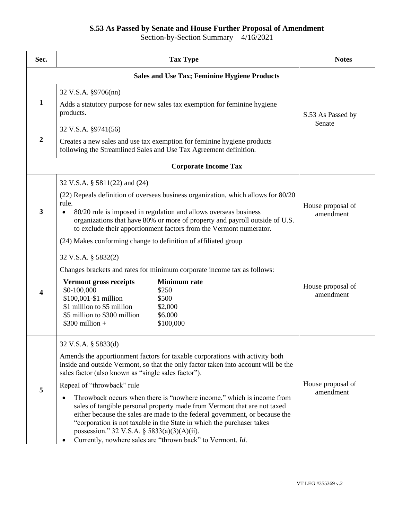## **S.53 As Passed by Senate and House Further Proposal of Amendment**

Section-by-Section Summary – 4/16/2021

| Sec.                                                | <b>Tax Type</b>                                                                                                                                                                                                                                                                                                                                                                                                                                                                                                                                                                                                                                                                                             | <b>Notes</b>                   |  |  |
|-----------------------------------------------------|-------------------------------------------------------------------------------------------------------------------------------------------------------------------------------------------------------------------------------------------------------------------------------------------------------------------------------------------------------------------------------------------------------------------------------------------------------------------------------------------------------------------------------------------------------------------------------------------------------------------------------------------------------------------------------------------------------------|--------------------------------|--|--|
| <b>Sales and Use Tax; Feminine Hygiene Products</b> |                                                                                                                                                                                                                                                                                                                                                                                                                                                                                                                                                                                                                                                                                                             |                                |  |  |
| $\mathbf{1}$                                        | 32 V.S.A. §9706(nn)<br>Adds a statutory purpose for new sales tax exemption for feminine hygiene<br>products.                                                                                                                                                                                                                                                                                                                                                                                                                                                                                                                                                                                               | S.53 As Passed by<br>Senate    |  |  |
| $\overline{2}$                                      | 32 V.S.A. §9741(56)<br>Creates a new sales and use tax exemption for feminine hygiene products<br>following the Streamlined Sales and Use Tax Agreement definition.                                                                                                                                                                                                                                                                                                                                                                                                                                                                                                                                         |                                |  |  |
| <b>Corporate Income Tax</b>                         |                                                                                                                                                                                                                                                                                                                                                                                                                                                                                                                                                                                                                                                                                                             |                                |  |  |
| $\mathbf{3}$                                        | 32 V.S.A. § 5811(22) and (24)<br>(22) Repeals definition of overseas business organization, which allows for 80/20<br>rule.<br>80/20 rule is imposed in regulation and allows overseas business<br>organizations that have 80% or more of property and payroll outside of U.S.<br>to exclude their apportionment factors from the Vermont numerator.<br>(24) Makes conforming change to definition of affiliated group                                                                                                                                                                                                                                                                                      | House proposal of<br>amendment |  |  |
| 4                                                   | 32 V.S.A. § 5832(2)<br>Changes brackets and rates for minimum corporate income tax as follows:<br><b>Minimum</b> rate<br><b>Vermont gross receipts</b><br>\$0-100,000<br>\$250<br>\$100,001-\$1 million<br>\$500<br>\$1 million to \$5 million<br>\$2,000<br>\$5 million to \$300 million<br>\$6,000<br>$$300$ million +<br>\$100,000                                                                                                                                                                                                                                                                                                                                                                       | House proposal of<br>amendment |  |  |
| 5                                                   | 32 V.S.A. § 5833(d)<br>Amends the apportionment factors for taxable corporations with activity both<br>inside and outside Vermont, so that the only factor taken into account will be the<br>sales factor (also known as "single sales factor").<br>Repeal of "throwback" rule<br>Throwback occurs when there is "nowhere income," which is income from<br>sales of tangible personal property made from Vermont that are not taxed<br>either because the sales are made to the federal government, or because the<br>"corporation is not taxable in the State in which the purchaser takes<br>possession." 32 V.S.A. $\S$ 5833(a)(3)(A)(ii).<br>Currently, nowhere sales are "thrown back" to Vermont. Id. | House proposal of<br>amendment |  |  |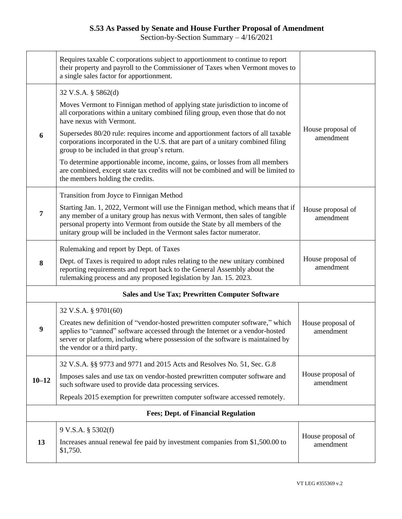## **S.53 As Passed by Senate and House Further Proposal of Amendment**

Section-by-Section Summary – 4/16/2021

|                                                        | Requires taxable C corporations subject to apportionment to continue to report<br>their property and payroll to the Commissioner of Taxes when Vermont moves to<br>a single sales factor for apportionment.                                                                                                              |                                |  |  |
|--------------------------------------------------------|--------------------------------------------------------------------------------------------------------------------------------------------------------------------------------------------------------------------------------------------------------------------------------------------------------------------------|--------------------------------|--|--|
|                                                        | 32 V.S.A. § 5862(d)                                                                                                                                                                                                                                                                                                      |                                |  |  |
|                                                        | Moves Vermont to Finnigan method of applying state jurisdiction to income of<br>all corporations within a unitary combined filing group, even those that do not<br>have nexus with Vermont.                                                                                                                              |                                |  |  |
| 6                                                      | Supersedes 80/20 rule: requires income and apportionment factors of all taxable<br>corporations incorporated in the U.S. that are part of a unitary combined filing<br>group to be included in that group's return.                                                                                                      | House proposal of<br>amendment |  |  |
|                                                        | To determine apportionable income, income, gains, or losses from all members<br>are combined, except state tax credits will not be combined and will be limited to<br>the members holding the credits.                                                                                                                   |                                |  |  |
|                                                        | Transition from Joyce to Finnigan Method                                                                                                                                                                                                                                                                                 |                                |  |  |
| $\overline{7}$                                         | Starting Jan. 1, 2022, Vermont will use the Finnigan method, which means that if<br>any member of a unitary group has nexus with Vermont, then sales of tangible<br>personal property into Vermont from outside the State by all members of the<br>unitary group will be included in the Vermont sales factor numerator. | House proposal of<br>amendment |  |  |
|                                                        | Rulemaking and report by Dept. of Taxes                                                                                                                                                                                                                                                                                  |                                |  |  |
| 8                                                      | Dept. of Taxes is required to adopt rules relating to the new unitary combined<br>reporting requirements and report back to the General Assembly about the<br>rulemaking process and any proposed legislation by Jan. 15. 2023.                                                                                          | House proposal of<br>amendment |  |  |
| <b>Sales and Use Tax; Prewritten Computer Software</b> |                                                                                                                                                                                                                                                                                                                          |                                |  |  |
|                                                        | 32 V.S.A. § 9701(60)                                                                                                                                                                                                                                                                                                     |                                |  |  |
| 9                                                      | Creates new definition of "vendor-hosted prewritten computer software," which<br>applies to "canned" software accessed through the Internet or a vendor-hosted<br>server or platform, including where possession of the software is maintained by<br>the vendor or a third party.                                        | House proposal of<br>amendment |  |  |
|                                                        | 32 V.S.A. §§ 9773 and 9771 and 2015 Acts and Resolves No. 51, Sec. G.8                                                                                                                                                                                                                                                   |                                |  |  |
| $10 - 12$                                              | Imposes sales and use tax on vendor-hosted prewritten computer software and<br>such software used to provide data processing services.                                                                                                                                                                                   | House proposal of<br>amendment |  |  |
|                                                        | Repeals 2015 exemption for prewritten computer software accessed remotely.                                                                                                                                                                                                                                               |                                |  |  |
| <b>Fees; Dept. of Financial Regulation</b>             |                                                                                                                                                                                                                                                                                                                          |                                |  |  |
|                                                        | 9 V.S.A. § 5302(f)                                                                                                                                                                                                                                                                                                       |                                |  |  |
| 13                                                     | Increases annual renewal fee paid by investment companies from \$1,500.00 to<br>\$1,750.                                                                                                                                                                                                                                 | House proposal of<br>amendment |  |  |